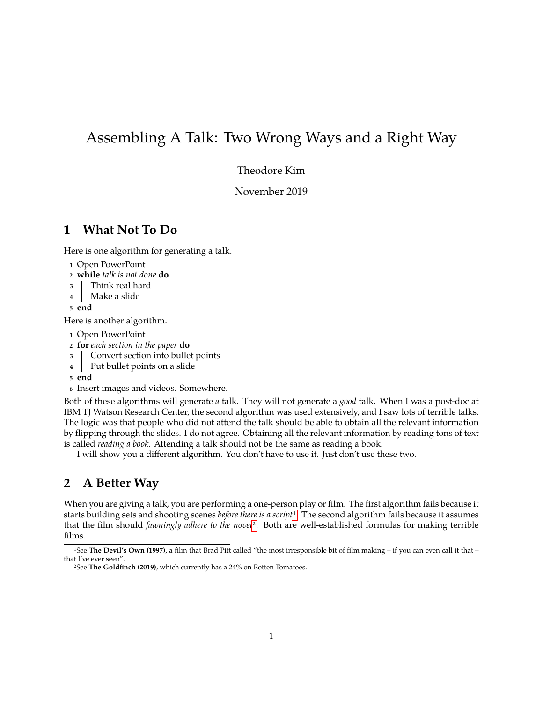# Assembling A Talk: Two Wrong Ways and a Right Way

Theodore Kim

November 2019

### **1 What Not To Do**

Here is one algorithm for generating a talk.

- **<sup>1</sup>** Open PowerPoint
- **<sup>2</sup> while** *talk is not done* **do**
- **<sup>3</sup>** Think real hard
- **<sup>4</sup>** Make a slide
- **<sup>5</sup> end**

Here is another algorithm.

- **<sup>1</sup>** Open PowerPoint
- **<sup>2</sup> for** *each section in the paper* **do**
- **<sup>3</sup>** Convert section into bullet points
- **<sup>4</sup>** Put bullet points on a slide

**<sup>5</sup> end**

**<sup>6</sup>** Insert images and videos. Somewhere.

Both of these algorithms will generate *a* talk. They will not generate a *good* talk. When I was a post-doc at IBM TJ Watson Research Center, the second algorithm was used extensively, and I saw lots of terrible talks. The logic was that people who did not attend the talk should be able to obtain all the relevant information by flipping through the slides. I do not agree. Obtaining all the relevant information by reading tons of text is called *reading a book*. Attending a talk should not be the same as reading a book.

I will show you a different algorithm. You don't have to use it. Just don't use these two.

## **2 A Better Way**

When you are giving a talk, you are performing a one-person play or film. The first algorithm fails because it starts building sets and shooting scenes *before there is a script*[1.](#page-0-0) The second algorithm fails because it assumes that the film should *fawningly adhere to the novel*[2.](#page-0-1) Both are well-established formulas for making terrible films.

<span id="page-0-0"></span><sup>1</sup>See **The Devil's Own (1997)**, a film that Brad Pitt called "the most irresponsible bit of film making – if you can even call it that – that I've ever seen".

<span id="page-0-1"></span><sup>2</sup>See **The Goldfinch (2019)**, which currently has a 24% on Rotten Tomatoes.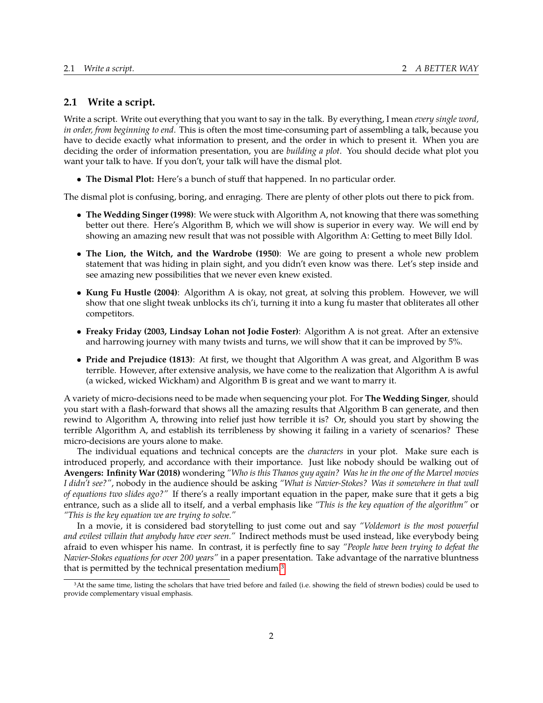#### **2.1 Write a script.**

Write a script. Write out everything that you want to say in the talk. By everything, I mean *every single word, in order, from beginning to end*. This is often the most time-consuming part of assembling a talk, because you have to decide exactly what information to present, and the order in which to present it. When you are deciding the order of information presentation, you are *building a plot*. You should decide what plot you want your talk to have. If you don't, your talk will have the dismal plot.

• **The Dismal Plot:** Here's a bunch of stuff that happened. In no particular order.

The dismal plot is confusing, boring, and enraging. There are plenty of other plots out there to pick from.

- **The Wedding Singer (1998)**: We were stuck with Algorithm A, not knowing that there was something better out there. Here's Algorithm B, which we will show is superior in every way. We will end by showing an amazing new result that was not possible with Algorithm A: Getting to meet Billy Idol.
- **The Lion, the Witch, and the Wardrobe (1950)**: We are going to present a whole new problem statement that was hiding in plain sight, and you didn't even know was there. Let's step inside and see amazing new possibilities that we never even knew existed.
- **Kung Fu Hustle (2004)**: Algorithm A is okay, not great, at solving this problem. However, we will show that one slight tweak unblocks its ch'i, turning it into a kung fu master that obliterates all other competitors.
- **Freaky Friday (2003, Lindsay Lohan not Jodie Foster)**: Algorithm A is not great. After an extensive and harrowing journey with many twists and turns, we will show that it can be improved by 5%.
- **Pride and Prejudice (1813)**: At first, we thought that Algorithm A was great, and Algorithm B was terrible. However, after extensive analysis, we have come to the realization that Algorithm A is awful (a wicked, wicked Wickham) and Algorithm B is great and we want to marry it.

A variety of micro-decisions need to be made when sequencing your plot. For **The Wedding Singer**, should you start with a flash-forward that shows all the amazing results that Algorithm B can generate, and then rewind to Algorithm A, throwing into relief just how terrible it is? Or, should you start by showing the terrible Algorithm A, and establish its terribleness by showing it failing in a variety of scenarios? These micro-decisions are yours alone to make.

The individual equations and technical concepts are the *characters* in your plot. Make sure each is introduced properly, and accordance with their importance. Just like nobody should be walking out of **Avengers: Infinity War (2018)** wondering *"Who is this Thanos guy again? Was he in the one of the Marvel movies I didn't see?"*, nobody in the audience should be asking *"What is Navier-Stokes? Was it somewhere in that wall of equations two slides ago?"* If there's a really important equation in the paper, make sure that it gets a big entrance, such as a slide all to itself, and a verbal emphasis like *"This is the key equation of the algorithm"* or *"This is the key equation we are trying to solve."*

In a movie, it is considered bad storytelling to just come out and say *"Voldemort is the most powerful and evilest villain that anybody have ever seen."* Indirect methods must be used instead, like everybody being afraid to even whisper his name. In contrast, it is perfectly fine to say *"People have been trying to defeat the Navier-Stokes equations for over 200 years"* in a paper presentation. Take advantage of the narrative bluntness that is permitted by the technical presentation medium[.3](#page-1-0)

<span id="page-1-0"></span><sup>&</sup>lt;sup>3</sup>At the same time, listing the scholars that have tried before and failed (i.e. showing the field of strewn bodies) could be used to provide complementary visual emphasis.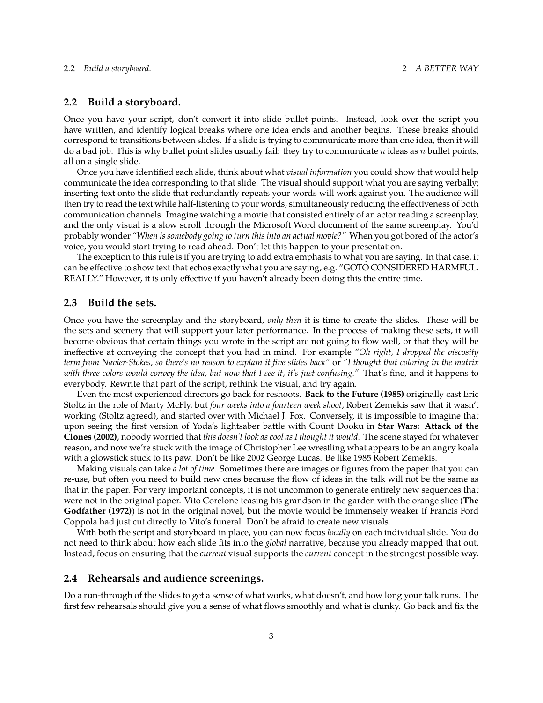#### **2.2 Build a storyboard.**

Once you have your script, don't convert it into slide bullet points. Instead, look over the script you have written, and identify logical breaks where one idea ends and another begins. These breaks should correspond to transitions between slides. If a slide is trying to communicate more than one idea, then it will do a bad job. This is why bullet point slides usually fail: they try to communicate  $n$  ideas as  $n$  bullet points, all on a single slide.

Once you have identified each slide, think about what *visual information* you could show that would help communicate the idea corresponding to that slide. The visual should support what you are saying verbally; inserting text onto the slide that redundantly repeats your words will work against you. The audience will then try to read the text while half-listening to your words, simultaneously reducing the effectiveness of both communication channels. Imagine watching a movie that consisted entirely of an actor reading a screenplay, and the only visual is a slow scroll through the Microsoft Word document of the same screenplay. You'd probably wonder *"When is somebody going to turn this into an actual movie?"* When you got bored of the actor's voice, you would start trying to read ahead. Don't let this happen to your presentation.

The exception to this rule is if you are trying to add extra emphasis to what you are saying. In that case, it can be effective to show text that echos exactly what you are saying, e.g. "GOTO CONSIDERED HARMFUL. REALLY." However, it is only effective if you haven't already been doing this the entire time.

#### **2.3 Build the sets.**

Once you have the screenplay and the storyboard, *only then* it is time to create the slides. These will be the sets and scenery that will support your later performance. In the process of making these sets, it will become obvious that certain things you wrote in the script are not going to flow well, or that they will be ineffective at conveying the concept that you had in mind. For example *"Oh right, I dropped the viscosity term from Navier-Stokes, so there's no reason to explain it five slides back"* or *"I thought that coloring in the matrix with three colors would convey the idea, but now that I see it, it's just confusing."* That's fine, and it happens to everybody. Rewrite that part of the script, rethink the visual, and try again.

Even the most experienced directors go back for reshoots. **Back to the Future (1985)** originally cast Eric Stoltz in the role of Marty McFly, but *four weeks into a fourteen week shoot*, Robert Zemekis saw that it wasn't working (Stoltz agreed), and started over with Michael J. Fox. Conversely, it is impossible to imagine that upon seeing the first version of Yoda's lightsaber battle with Count Dooku in **Star Wars: Attack of the Clones (2002)**, nobody worried that *this doesn't look as cool as I thought it would.* The scene stayed for whatever reason, and now we're stuck with the image of Christopher Lee wrestling what appears to be an angry koala with a glowstick stuck to its paw. Don't be like 2002 George Lucas. Be like 1985 Robert Zemekis.

Making visuals can take *a lot of time*. Sometimes there are images or figures from the paper that you can re-use, but often you need to build new ones because the flow of ideas in the talk will not be the same as that in the paper. For very important concepts, it is not uncommon to generate entirely new sequences that were not in the original paper. Vito Corelone teasing his grandson in the garden with the orange slice (**The Godfather (1972)**) is not in the original novel, but the movie would be immensely weaker if Francis Ford Coppola had just cut directly to Vito's funeral. Don't be afraid to create new visuals.

With both the script and storyboard in place, you can now focus *locally* on each individual slide. You do not need to think about how each slide fits into the *global* narrative, because you already mapped that out. Instead, focus on ensuring that the *current* visual supports the *current* concept in the strongest possible way.

#### **2.4 Rehearsals and audience screenings.**

Do a run-through of the slides to get a sense of what works, what doesn't, and how long your talk runs. The first few rehearsals should give you a sense of what flows smoothly and what is clunky. Go back and fix the